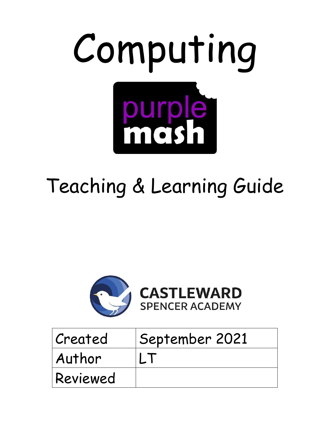

# Teaching & Learning Guide



| Created  | September 2021 |
|----------|----------------|
| Author   |                |
| Reviewed |                |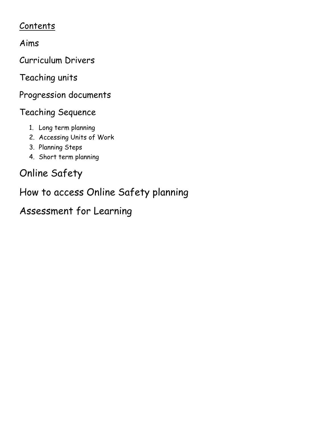### Contents

Aims

Curriculum Drivers

Teaching units

Progression documents

# Teaching Sequence

- 1. Long term planning
- 2. Accessing Units of Work
- 3. Planning Steps
- 4. Short term planning

# Online Safety

How to access Online Safety planning

Assessment for Learning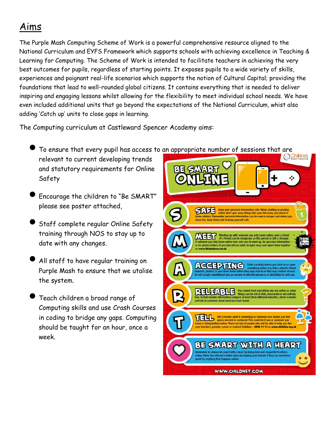# Aims

The Purple Mash Computing Scheme of Work is a powerful comprehensive resource aligned to the National Curriculum and EYFS Framework which supports schools with achieving excellence in Teaching & Learning for Computing. The Scheme of Work is intended to facilitate teachers in achieving the very best outcomes for pupils, regardless of starting points. It exposes pupils to a wide variety of skills, experiences and poignant real-life scenarios which supports the notion of Cultural Capital; providing the foundations that lead to well-rounded global citizens. It contains everything that is needed to deliver inspiring and engaging lessons whilst allowing for the flexibility to meet individual school needs. We have even included additional units that go beyond the expectations of the National Curriculum, whist also adding 'Catch up' units to close gaps in learning.

The Computing curriculum at Castleward Spencer Academy aims:

To ensure that every pupil has access to an appropriate number of sessions that are<br>relevant to current developing trends

- relevant to current developing trends and statutory requirements for Online Safety
- Encourage the children to "Be SMART" please see poster attached,
- Staff complete regular Online Safety training through NOS to stay up to date with any changes.
- All staff to have regular training on Purple Mash to ensure that we utalise the system.
- Teach children a broad range of Computing skills and use Crash Courses in coding to bridge any gaps. Computing should be taught for an hour, once a week.

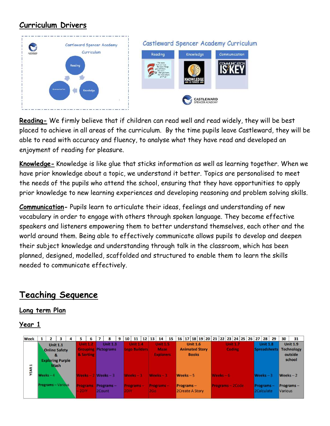### **Curriculum Drivers**



**Reading-** We firmly believe that if children can read well and read widely, they will be best placed to achieve in all areas of the curriculum. By the time pupils leave Castleward, they will be able to read with accuracy and fluency, to analyse what they have read and developed an enjoyment of reading for pleasure.

**Knowledge-** Knowledge is like glue that sticks information as well as learning together. When we have prior knowledge about a topic, we understand it better. Topics are personalised to meet the needs of the pupils who attend the school, ensuring that they have opportunities to apply prior knowledge to new learning experiences and developing reasoning and problem solving skills.

**Communication-** Pupils learn to articulate their ideas, feelings and understanding of new vocabulary in order to engage with others through spoken language. They become effective speakers and listeners empowering them to better understand themselves, each other and the world around them. Being able to effectively communicate allows pupils to develop and deepen their subject knowledge and understanding through talk in the classroom, which has been planned, designed, modelled, scaffolded and structured to enable them to learn the skills needed to communicate effectively.

### **Teaching Sequence**

#### **Long term Plan**

| <b>Week</b> | $\overline{2}$                                  | 3                                   | 4 | 5                       | 6                     |        | 8                                             | 9 | 10   | 11                                      | $12 \mid 13 \mid$ |            | 14                                                 | 15 | 16 17 18 19 20 21 22 23 24 25 26 27 28 29 |                                 |  |             |                           |  |                                |                 |                     | 30             | 31                                                        |
|-------------|-------------------------------------------------|-------------------------------------|---|-------------------------|-----------------------|--------|-----------------------------------------------|---|------|-----------------------------------------|-------------------|------------|----------------------------------------------------|----|-------------------------------------------|---------------------------------|--|-------------|---------------------------|--|--------------------------------|-----------------|---------------------|----------------|-----------------------------------------------------------|
| н           | <b>Online Safety</b><br><b>Exploring Purple</b> | <b>Unit 1.1</b><br>&<br><b>Mash</b> |   |                         | Unit 1.2<br>& Sorting |        | <b>Unit 1.3</b><br><b>Grouping Pictograms</b> |   |      | <b>Unit 1.4</b><br><b>Lego Builders</b> |                   |            | <b>Unit 1:5</b><br><b>Maze</b><br><b>Explorers</b> |    | <b>Animated Story</b>                     | <b>Unit 1.6</b><br><b>Books</b> |  |             | <b>Unit 1.7</b><br>Coding |  |                                | <b>Unit 1.8</b> | <b>Spreadsheets</b> |                | <b>Unit 1.9</b><br><b>Technology</b><br>outside<br>school |
| <b>YEAR</b> | Weeks $-4$                                      |                                     |   | <b>Weeks</b>            |                       |        | $Weeks - 3$                                   |   |      | $Weeks - 3$                             |                   |            | Weeks-3                                            |    | $Weeks - 5$                               |                                 |  | $Weeks - 6$ |                           |  | $Weeks - 3$                    |                 |                     | $Weeks - 2$    |                                                           |
|             | <b>Programs</b> – Various                       |                                     |   | <b>Programs</b><br>2DIY |                       | 2Count | $Programs -$                                  |   | 2DIY | <b>Programs</b>                         |                   | <b>2Ga</b> | <b>Programs-</b>                                   |    | $Programs -$<br>2Create A Story           |                                 |  |             | <b>Programs-2Code</b>     |  | <b>Programs-</b><br>2Calculate |                 |                     | <b>Various</b> | Programs-                                                 |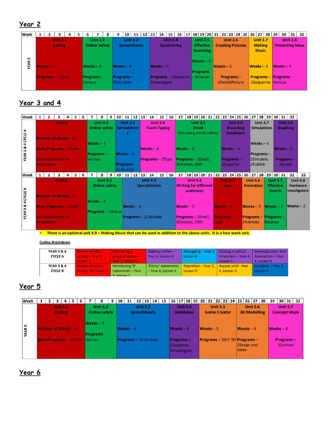### **Year 2**

### **Year 3 and 4**

| <b>Week</b>                 | $\overline{2}$                          | 3      | 4 | 5 | 6 |                                          | 8                                       | 9 | 10 |                                       | $11 \quad 12$ | <b>13</b> | 14                                     | 15              | 16 | 17                                   |                                     | 18 19 20 21 22 23 24 25 26 |      |           |      |                                                         | 27                                  |                        | 28 29                | 30                                                   | 31              | 32              |                                                            |
|-----------------------------|-----------------------------------------|--------|---|---|---|------------------------------------------|-----------------------------------------|---|----|---------------------------------------|---------------|-----------|----------------------------------------|-----------------|----|--------------------------------------|-------------------------------------|----------------------------|------|-----------|------|---------------------------------------------------------|-------------------------------------|------------------------|----------------------|------------------------------------------------------|-----------------|-----------------|------------------------------------------------------------|
| A                           | Number of Weeks - 6                     | Coding |   |   |   |                                          | <b>Unit 3.2</b><br><b>Online safety</b> |   |    | <b>Unit 3.3</b><br><b>Spreadsheet</b> |               |           | <b>Touch Typing</b>                    | <b>Unit 3.4</b> |    |                                      | <b>Unit 3.5</b><br>Email            | (including email safety)   |      |           |      | <b>Unit 3.6</b><br><b>Branching</b><br><b>Databases</b> |                                     | <b>Unit 3.7</b>        | <b>Simulations</b>   |                                                      | <b>Unit 3.8</b> | <b>Graphing</b> |                                                            |
| <b>YEAR 3 &amp; 4 CYCLE</b> | <b>Main Programs - 2Code</b>            |        |   |   |   | $Weeks - 3$<br>Programs-                 |                                         |   |    | $Weeks - 3$                           |               |           | $Weeks - 4$                            |                 |    | Weeks $-6$                           |                                     |                            |      |           |      | Weeks $-4$                                              |                                     | Weeks $-3$             | Programs-            |                                                      | Weeks $-3$      |                 |                                                            |
|                             | See table below for<br><b>breakdown</b> |        |   |   |   | Various                                  |                                         |   |    | Programs -<br>2Calculate              |               |           | Programs - 2Type                       |                 |    | Programs - 2Email,<br>2Connect, 2DIY |                                     |                            |      |           |      | Programs-<br>2Question                                  |                                     | 2Simulate,<br>2Publish |                      |                                                      | 2Graph          | Programs-       |                                                            |
| <b>Week</b>                 | $\overline{2}$                          | 3      | 4 | 5 | 6 |                                          | 8                                       | 9 | 10 |                                       | $11 \quad 12$ | <b>13</b> | 14                                     | 15 <sup>1</sup> | 16 | 17                                   |                                     | 18 19 20 21 22 23 24 25    |      |           |      |                                                         | $26$ 27 28                          |                        |                      |                                                      | 29 30 31        | 32              | 33                                                         |
|                             | Number of Weeks - 6                     | Coding |   |   |   |                                          | <b>Unit 4.2</b><br><b>Online safety</b> |   |    |                                       |               |           | <b>Unit 4.3</b><br><b>Spreadsheets</b> |                 |    | <b>Writing for different</b>         | <b>Unit 4.4</b><br><b>audiences</b> |                            |      | Unit 4.5  | Logo |                                                         | <b>Unit 4.6</b><br><b>Animation</b> |                        |                      | <b>Unit 4.7</b><br><b>Effective</b><br><b>Search</b> |                 |                 | <b>Unit 4.8</b><br><b>Hardware</b><br><b>Investigators</b> |
| YEAR 3 & 4 CYCLE B          | <b>Main Programs - 2Code</b>            |        |   |   |   | $Weeks - 4$<br><b>Programs</b> - Various |                                         |   |    | Weeks $-6$                            |               |           |                                        |                 |    | $Weeks - 5$                          |                                     |                            |      | Weeks-4   |      |                                                         | $Weeks - 3$                         |                        | $Weeks - 3$          |                                                      |                 | Weeks $-2$      |                                                            |
|                             | See table below for<br>breakdown        |        |   |   |   |                                          |                                         |   |    |                                       |               |           | Programs - 2Calculate                  |                 |    | Programs - 2Email,<br>2Connect, 2DIY |                                     |                            | Logo | Programs- |      |                                                         | Programs-<br>2Animate               |                        | Programs-<br>Browser |                                                      |                 |                 |                                                            |

\* There is an optional unit 4.9 - Making Music that can be used in addition to the above units. It is a four week unit.

#### **Coding Breakdown**

| <b>YEAR 3 &amp; 4</b><br><b>CYCLE A</b> | <b>Review previous</b><br>coding - Year 3.<br>Lesson 1 | Simulating a<br>physical system -<br>Year 3, Lesson 2                 | Making a timer $-$<br>Year 4, Lesson 4    | Debugging - Year 3, Making a control<br>Lesson 6     | simulation - Year 4,<br>Lesson 5 | Decomposition and<br>Abstraction - Year<br>4. Lesson 6 |
|-----------------------------------------|--------------------------------------------------------|-----------------------------------------------------------------------|-------------------------------------------|------------------------------------------------------|----------------------------------|--------------------------------------------------------|
| <b>YEAR 3 &amp; 4</b><br><b>CYCLE B</b> | <b>Review previous</b><br>coding, Y4, lesson 1         | Introducing 'if'<br>statements - Year<br>$2 \cdot 1$ accord $2 \cdot$ | 'if/else' statements<br>-Year 4, Lesson 2 | Repetition – Year 3, Repeat until - Year<br>Lesson 5 | 4, Lesson 3                      | Variables - Year 3.<br>Lesson 4                        |

#### **Year 5**

| <b>Week</b>      | $\overline{2}$ | $\overline{\mathbf{3}}$                      | $\overline{a}$                   | 5 | 6 |                | 8                                                                    | 9 | 10 | 11                                  | 12                  | 13              | 14 | 15 |           |                                                                                 |  |                                    |                 |  |                     | 16 17 18 19 20 21 22 23 24 25 26 27 28                                                 | 29          |                                              |                 | 30 31 32 |
|------------------|----------------|----------------------------------------------|----------------------------------|---|---|----------------|----------------------------------------------------------------------|---|----|-------------------------------------|---------------------|-----------------|----|----|-----------|---------------------------------------------------------------------------------|--|------------------------------------|-----------------|--|---------------------|----------------------------------------------------------------------------------------|-------------|----------------------------------------------|-----------------|----------|
| S<br><b>YEAR</b> |                | Number of Weeks - 6<br>Main Programs - 2Code | <b>Unit 5.1</b><br><b>Coding</b> |   |   | <b>Various</b> | <b>Unit 5.2</b><br><b>Online safety</b><br>$Weeks - 3$<br>Programs - |   |    | Weeks $-6$<br>Programs - 2Calculate | <b>Spreadsheets</b> | <b>Unit 5.3</b> |    |    | Programs- | <b>Unit 5.4</b><br><b>Databases</b><br>Weeks $-4$<br>2Question,<br>2Investigate |  | <b>Game Creator</b><br>$Weeks - 5$ | <b>Unit 5.5</b> |  | $Weeks - 4$<br>Make | <b>Unit 5.6</b><br><b>3D Modelling</b><br>Programs - 2DIY 3D Programs -<br>2Design and | $Weeks - 4$ | <b>Concept Maps</b><br>Programs-<br>2Connect | <b>Unit 5.7</b> |          |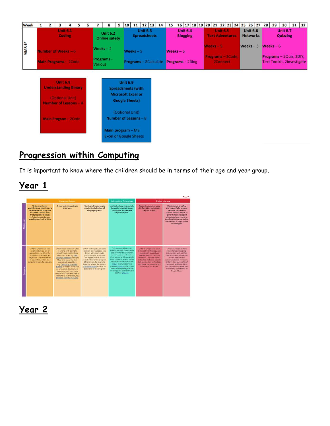| <b>Week</b> | $\mathbf{1}$                                                     | $\overline{2}$ | 3 | 4                                |  | 5 | 6 |                | 8                                                  | 9                         | 10                                                  |                 | $11 \mid 12 \mid 13$ | 14 | 15                                     |                                    |  |         |                 |                        | 16 17 18 19 20 21 22 23 24 25 26 27 | 28 | 29         | 30                                                           | $31 \mid 32$ |  |
|-------------|------------------------------------------------------------------|----------------|---|----------------------------------|--|---|---|----------------|----------------------------------------------------|---------------------------|-----------------------------------------------------|-----------------|----------------------|----|----------------------------------------|------------------------------------|--|---------|-----------------|------------------------|-------------------------------------|----|------------|--------------------------------------------------------------|--------------|--|
|             |                                                                  |                |   | <b>Unit 6.1</b><br><b>Coding</b> |  |   |   |                | <b>Unit 6.2</b><br><b>Online safety</b>            |                           |                                                     | <b>Unit 6.3</b> | <b>Spreadsheets</b>  |    |                                        | <b>Unit 6.4</b><br><b>Blogging</b> |  |         | <b>Unit 6.5</b> | <b>Text Adventures</b> | <b>Unit 6.6</b><br><b>Networks</b>  |    |            | <b>Unit 6.7</b><br><b>Quizzing</b>                           |              |  |
| YEAR 6*     |                                                                  |                |   | Number of Weeks - 6              |  |   |   | Weeks $-2$     |                                                    |                           | $Weeks - 5$                                         |                 |                      |    | Weeks $-5$                             |                                    |  | Weeks-5 |                 |                        | Weeks $-3$                          |    | Weeks $-6$ |                                                              |              |  |
|             |                                                                  |                |   | Main Programs - 2Code            |  |   |   | <b>Various</b> | Programs -                                         |                           |                                                     |                 |                      |    | Programs - 2Calculate Programs - 2Blog |                                    |  |         | 2Connect        | Programs - 2Code,      |                                     |    |            | Programs - 2Quiz, 2DIY,<br><b>Text Toolkit, 2Investigate</b> |              |  |
|             |                                                                  |                |   |                                  |  |   |   |                |                                                    |                           | <b>Unit 6.9</b>                                     |                 |                      |    |                                        |                                    |  |         |                 |                        |                                     |    |            |                                                              |              |  |
|             | <b>Unit 6.8</b><br><b>Understanding Binary</b>                   |                |   |                                  |  |   |   |                |                                                    | <b>Spreadsheets (with</b> |                                                     |                 |                      |    |                                        |                                    |  |         |                 |                        |                                     |    |            |                                                              |              |  |
|             |                                                                  |                |   |                                  |  |   |   |                |                                                    |                           | <b>Microsoft Excel or</b><br><b>Google Sheets</b> ) |                 |                      |    |                                        |                                    |  |         |                 |                        |                                     |    |            |                                                              |              |  |
|             | (Optional Unit)<br>Number of Lessons - 4<br>Main Program - 2Code |                |   |                                  |  |   |   |                | (Optional Unit)<br>Number of Lessons - 8           |                           |                                                     |                 |                      |    |                                        |                                    |  |         |                 |                        |                                     |    |            |                                                              |              |  |
|             |                                                                  |                |   |                                  |  |   |   |                | Main program - MS<br><b>Excel or Google Sheets</b> |                           |                                                     |                 |                      |    |                                        |                                    |  |         |                 |                        |                                     |    |            |                                                              |              |  |

### **Progression within Computing**

It is important to know where the children should be in terms of their age and year group.

| O<br>w. |  |
|---------|--|
|         |  |

|                                                                                                                                                                                                           | <b>Computer Science</b>                                                                                                                                                                                                                                                                                                                                                                                              |                                                                                                                                                                                                                                                                                                          | <b>Information Technology</b>                                                                                                                                                                                                                                                                                                                                          |                                                                                                                                                                                                                                                                         | <b>Digital Literacy</b>                                                                                                                                                                                                                                                                                      |
|-----------------------------------------------------------------------------------------------------------------------------------------------------------------------------------------------------------|----------------------------------------------------------------------------------------------------------------------------------------------------------------------------------------------------------------------------------------------------------------------------------------------------------------------------------------------------------------------------------------------------------------------|----------------------------------------------------------------------------------------------------------------------------------------------------------------------------------------------------------------------------------------------------------------------------------------------------------|------------------------------------------------------------------------------------------------------------------------------------------------------------------------------------------------------------------------------------------------------------------------------------------------------------------------------------------------------------------------|-------------------------------------------------------------------------------------------------------------------------------------------------------------------------------------------------------------------------------------------------------------------------|--------------------------------------------------------------------------------------------------------------------------------------------------------------------------------------------------------------------------------------------------------------------------------------------------------------|
| Understand what<br>algorithms are; how they are<br>implemented as programs.<br>on digital devices; and<br>that programs execute<br>by following precise and<br>unambiguous instructions.                  | Create and debug simple<br>programs.                                                                                                                                                                                                                                                                                                                                                                                 | Use logical reasoning to<br>predict the behaviour of<br>simple programs.                                                                                                                                                                                                                                 | Use technology purposefully<br>to create, organize, store.<br>manipulate and retrieve<br>digital content.                                                                                                                                                                                                                                                              | Recognise common uses<br>of information technology<br>beyond school.                                                                                                                                                                                                    | Use technology safely<br>and respectfully, leaping<br>personal information<br>private; identify where to<br>go for help and support<br>when they have concerns.<br>about contant or contact on<br>the internet or other online<br>technologies.                                                              |
| Children understand that<br>an algorithm is a set of<br>instructions used to solve<br>a problem or achieve an<br>odyective, They know that<br>an algorithm written for a<br>computer is called a program. | Children can work out what<br>is wrong with a simple-<br>algorithm when the steps<br>are out of order, e.g. The<br>Wrocu Sandwich in Purnkr<br>Math and can write their<br>own single algorithm.<br># a Colouring in + Bird<br>activity. Children know that<br>an anxiositied cutcome is<br>due to the code they have<br>created and can make logical<br>attempts to fix the code, e.g.<br>Bubbles activity in 2Code | When looking at a program.<br>children can read code one<br>line at a time and make<br>good attempts to envision<br>the bigger picture of the<br>overall effect of the program<br>Children can for example.<br>interpret where the turtle in<br>20s challenges will end up<br>at the end of the program. | Children are able to cort.<br>collate, edit and store simple<br>digital content e.g. children.<br>can name, save and nitrieve<br>their work and follow simple.<br>instructions to access online<br>requeresc use Purzile Machi<br>20uiz example (sorting<br>shapes), 2 Code design mode<br>manipulating backgrounds!<br>or using pictogram software<br>such as 2Count. | Children proterstand what<br>is insant by technology and<br>can identify a variety of<br>examples both in and out<br>of school. They can make a<br>distinction indween objects.<br>that use modern technology<br>and those that do not e.g. a<br>microwave us, a chair. | Chitaken understand the<br>Importance of keeping<br>information, such as their<br>usernames and passwords.<br>private and activity<br>demonstrate this in leasons.<br>Children take awnership of<br>their work and save this in<br>their own private space such<br>au thier My Work Folder on<br>Parole Mash |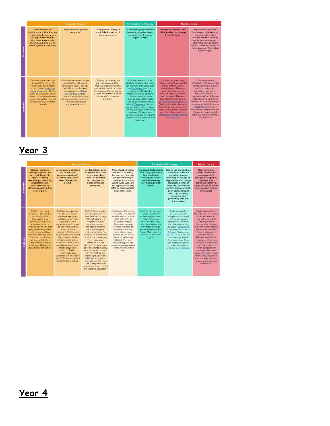|                  |                                                                                                                                                                                                                                                                                 | <b>Computer Science</b>                                                                                                                                                                                                                                                             |                                                                                                                                                                                                                            | <b>Information Technology</b>                                                                                                                                                                                                                                                                                                                                                                                                                                                              |                                                                                                                                                                                                                                                                                                                                                                                                                                               | <b>Digital Literacy</b>                                                                                                                                                                                                                                                                                                                                                                                                 |
|------------------|---------------------------------------------------------------------------------------------------------------------------------------------------------------------------------------------------------------------------------------------------------------------------------|-------------------------------------------------------------------------------------------------------------------------------------------------------------------------------------------------------------------------------------------------------------------------------------|----------------------------------------------------------------------------------------------------------------------------------------------------------------------------------------------------------------------------|--------------------------------------------------------------------------------------------------------------------------------------------------------------------------------------------------------------------------------------------------------------------------------------------------------------------------------------------------------------------------------------------------------------------------------------------------------------------------------------------|-----------------------------------------------------------------------------------------------------------------------------------------------------------------------------------------------------------------------------------------------------------------------------------------------------------------------------------------------------------------------------------------------------------------------------------------------|-------------------------------------------------------------------------------------------------------------------------------------------------------------------------------------------------------------------------------------------------------------------------------------------------------------------------------------------------------------------------------------------------------------------------|
| <b>Statement</b> | <b>Understand what</b><br>algorithms are: how they are<br>implemented as programs<br>on digital devices; and<br>that programs execute<br>by following precise and<br>unambiguous instructions.                                                                                  | Create and debug simple<br>programs.                                                                                                                                                                                                                                                | Use logical reasoning to<br>predict the behaviour of<br>simple programs.                                                                                                                                                   | Use technology purposefully<br>to create, organise, store,<br>manipulate and retrieve<br>digital content.                                                                                                                                                                                                                                                                                                                                                                                  | Recognise common uses<br>of information technology<br>beyond school.                                                                                                                                                                                                                                                                                                                                                                          | Use technology safely<br>and respectfully, keeping<br>personal information<br>private: identify where to<br>go for help and support<br>when they have concerns.<br>about content or contact on<br>the internet or other online.<br>technologies.                                                                                                                                                                        |
| <b>Outcome</b>   | Children can explain that<br>an algorithm is a set of<br>instructions to complete<br>a task. When designing<br>simple programs, children<br>show an awareness of the<br>need to be precise with their<br>algorithms so that they can<br>be successfully converted<br>into code. | Children can create a simple<br>program that achieves a<br>specific purpose. They can<br>also identify and correct<br>some errors, e.g. Debug<br>Challenges: Chimp.<br>Children's program designs<br>display a growing awareness<br>of the need for logical.<br>programmable steps. | Children can identify the<br>parts of a program that<br>respond to specific events<br>and initiate specific actions.<br>For example, they can write<br>a cause and effect sentence<br>of what will happen in a<br>program. | Children demonstrate an-<br>ability to organise data using.<br>for example, a database such<br>as 2liwestigate and can<br>retrieve specific data for<br>conducting simple searches.<br>Children are able to edit<br>more complex digital data<br>such as music compositions<br>within 2Sequence, Children.<br>are confident when creating.<br>naming, saving and retrieving.<br>content. Children use a<br>range of media in their digital<br>content including photos, text<br>and sound. | Children can effectively.<br>retrieve relevant, purposeful<br>digital content using a<br>search engine. They can<br>apply their learning of<br>effective searching beyond.<br>the classroom. They can<br>share this knowledge, e.g.<br>2Publish example template.<br>Children make lirks between<br>technology they see around<br>them, coding and multimedia<br>work they do in school e.g.<br>animations, interactive code<br>and programs. | Children know the<br>implications of inappropriate<br>coline searches. Children<br>begin to understand<br>how things are shared<br>electronically such as<br>posting work to the Pulple<br>Mash display board. They<br>develop an understanding of<br>using email safely by using<br>ZReapond activities on<br>Purple Mash and know ways<br>of reporting inappropriate<br>behaviours and content to a<br>trusted adult. |

|                                                                                                                                                                                                                                                                                                                                                                                                       | <b>Computer Science</b>                                                                                                                                                                                                                                                                                                                                                                                                                                                                        |                                                                                                                                                                                                                                                                                                                                                                                                                                                                                                                                                                                         |                                                                                                                                                                                                                                                                                                                                                                                      | <b>Information Technology</b>                                                                                                                                                                                                                               |                                                                                                                                                                                                                                                                                                                                                                                | <b>Digital Literacy</b>                                                                                                                                                                                                                                                                                                                                                                                                                                                                                           |
|-------------------------------------------------------------------------------------------------------------------------------------------------------------------------------------------------------------------------------------------------------------------------------------------------------------------------------------------------------------------------------------------------------|------------------------------------------------------------------------------------------------------------------------------------------------------------------------------------------------------------------------------------------------------------------------------------------------------------------------------------------------------------------------------------------------------------------------------------------------------------------------------------------------|-----------------------------------------------------------------------------------------------------------------------------------------------------------------------------------------------------------------------------------------------------------------------------------------------------------------------------------------------------------------------------------------------------------------------------------------------------------------------------------------------------------------------------------------------------------------------------------------|--------------------------------------------------------------------------------------------------------------------------------------------------------------------------------------------------------------------------------------------------------------------------------------------------------------------------------------------------------------------------------------|-------------------------------------------------------------------------------------------------------------------------------------------------------------------------------------------------------------------------------------------------------------|--------------------------------------------------------------------------------------------------------------------------------------------------------------------------------------------------------------------------------------------------------------------------------------------------------------------------------------------------------------------------------|-------------------------------------------------------------------------------------------------------------------------------------------------------------------------------------------------------------------------------------------------------------------------------------------------------------------------------------------------------------------------------------------------------------------------------------------------------------------------------------------------------------------|
| Design, write and<br>debug programs that<br>accomplish specific<br>goals, including<br>controlling or simulating<br>physical systems:<br>solve problems by<br>decomposing them into<br>smaller parts.                                                                                                                                                                                                 | Use sequence, selection<br>and repetition in<br>programs; work with<br>variables and various<br>forms of input and<br>output.                                                                                                                                                                                                                                                                                                                                                                  | Use logical reasoning<br>to explain how some<br>simple algorithms<br>work and to detect<br>and correct errors<br>in algorithms and<br>programs.                                                                                                                                                                                                                                                                                                                                                                                                                                         | Understand computer<br>networks, including<br>the internet: how they<br>can provide multiple<br>services, such as the<br>World Wide Web, and<br>the opportunities they<br>offer for communication<br>and collaboration.                                                                                                                                                              | Use search technologies<br>effectively, appreciate<br>how results are<br>selected and ranked.<br>and be discerning<br>in evaluating digital<br>content.                                                                                                     | Select, use and combine<br>a variety of software<br>finduding internet<br>services) on a range of<br>digital devices to design<br>and create a range of<br>programs, systems and<br>content that accomplish<br>given goals, including<br>collecting, analysing.<br>evaluating and<br>presenting data and<br>information.                                                       | Use technology<br>safely, respectfully<br>and responsibly.<br>recognise acceptable/<br>unacceptable<br>behaviour: identify a<br>range of ways to report<br>concern about content<br>and contact.                                                                                                                                                                                                                                                                                                                  |
| Children can turn a<br>simple real-ife situation<br>Into an algorithm<br>for a program by<br>deconstructing it into<br>manageable parts.<br>Their design shows that<br>they are thinking of the<br>desired task and how<br>this translates into code.<br>Children can identify<br>Dutcome<br>an error within their<br>program that prevents<br>it following the desired<br>algorithm and then fix it. | Children demonstrate<br>the ability to design<br>and code a program<br>that follows a simple<br>sequence. They<br>experiment with timers<br>to achieve repetition<br>effects in their<br>programs. Children are<br>beginning to understand<br>the difference in the<br>effect of using a timer<br>command rather than a<br>reneat command when<br>creating repetition<br>effects: Children<br>understand how<br>variables can be used to<br>store information while a<br>program is executing. | Children's designs for<br>their programs show<br>that they are thinking<br>of the structure of a<br>program in jogical.<br>achievable steps<br>and absorbing some<br>new knowledge of<br>coding structures. For<br>example. If statements,<br>repetition and variables.<br>They make good<br>attempts to 'step<br>through' more complex<br>code in order to identify<br>errors in algorithms and<br>can correct this e.g.<br>traffic light algorithm<br>in 20ede, in programs<br>such as Logo, they can<br>'read' programs with<br>several steps and predict<br>the outcome accurately. | Children can list a range<br>of ways that the internet<br>can be used to provide<br>different methods.<br>of communication.<br>They can use some<br>of these methods of<br>communication, e.g.<br>being able to open.<br>respond to and attach<br>files to emails using<br><b>2Email</b> They can<br>describe appropriate<br>email conventions when<br>communicating in this<br>way. | Children can carry out<br>simple searches to<br>retrieve digital content.<br>They understand<br>that to do this, they<br>are connecting to the<br>internet and using a<br>search engine such as<br>Purple Mash search or<br>informat-wide search<br>engines | Children can collect.<br>analyse, evaluate<br>and present data and<br>information using a<br>selection of software.<br>e.g. using a branching<br>database (2Question).<br>using software such as<br>2Graph, Children can<br>consider what software<br>is most appropriate<br>for a given task. They<br>can create purposeful<br>content to attach to<br>emails, e.g. 2Respond. | Children demonstrate<br>the importance of having<br>a secure password.<br>and not sharing this<br>with anyone else.<br>Furthermore, children<br>can explain the negative<br>Implications of failure<br>to keep passwords<br>safe and secure.<br>They understand the<br>importance of staving<br>safe and the importance<br>of their conduct<br>when using familiar.<br>communication tools.<br>such as 2Email in Putple<br>Mash: They know more<br>than one way to report<br>unacceptable content<br>and contact. |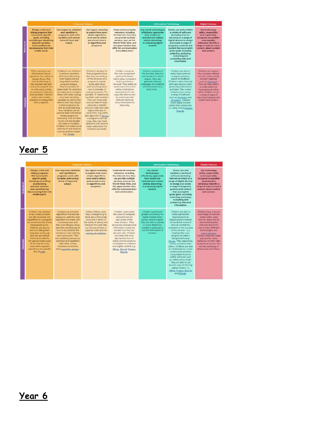|                                                                                                                                                                                                                                                                                                                                                                                                                                                                                                                                                                                                                                                                                                                                                                                                                                                                                                                                                                                                            | <b>Camputer Science</b>                                                                                                                                                                                                                                                                                                                                                                                                                                                                                                                                                              |                                                                                                                                                                                                                                                                                                                             | <b>Information Technology</b>                                                                                                                                                         |                                                                                                                                                                                                                                                                                                                                                                                               | <b>Digital Literacy</b>                                                                                                                                                                                                                                                                 |
|------------------------------------------------------------------------------------------------------------------------------------------------------------------------------------------------------------------------------------------------------------------------------------------------------------------------------------------------------------------------------------------------------------------------------------------------------------------------------------------------------------------------------------------------------------------------------------------------------------------------------------------------------------------------------------------------------------------------------------------------------------------------------------------------------------------------------------------------------------------------------------------------------------------------------------------------------------------------------------------------------------|--------------------------------------------------------------------------------------------------------------------------------------------------------------------------------------------------------------------------------------------------------------------------------------------------------------------------------------------------------------------------------------------------------------------------------------------------------------------------------------------------------------------------------------------------------------------------------------|-----------------------------------------------------------------------------------------------------------------------------------------------------------------------------------------------------------------------------------------------------------------------------------------------------------------------------|---------------------------------------------------------------------------------------------------------------------------------------------------------------------------------------|-----------------------------------------------------------------------------------------------------------------------------------------------------------------------------------------------------------------------------------------------------------------------------------------------------------------------------------------------------------------------------------------------|-----------------------------------------------------------------------------------------------------------------------------------------------------------------------------------------------------------------------------------------------------------------------------------------|
| Design, write and<br>Use sequence, selection<br>debug programs that<br>and repetition in<br>accomplish specific<br>programs; work with<br>goals, including<br>variables and various<br>controlling or simulating<br>forms of input and<br>Statement<br>physical systems:<br>output.<br>solve problems by<br>decomposing them into<br>smaller parts.                                                                                                                                                                                                                                                                                                                                                                                                                                                                                                                                                                                                                                                        | Use logical reasoning<br>to explain how some<br>simple algorithms<br>work and to detect<br>and correct errors.<br>in algorithms and<br>programs.                                                                                                                                                                                                                                                                                                                                                                                                                                     | Understand computer<br>networks, including<br>the internet; how they<br>can provide multiple<br>services, such as the<br>World Wide Web, and<br>the opportunities they<br>offer for communication<br>and collaboration.                                                                                                     | Use search technologies<br>effectively, appreciate<br>how results are<br>selected and ranked.<br>and be discerning<br>in evaluating digital<br>content.                               | Select, use and combine<br>a variety of software<br>(including internet)<br>services) on a range of<br>digital devices to design<br>and create a range of<br>programs, systems and<br>content that accomplish<br>given goals, including<br>collecting, analysing.<br>evaluating and<br>presenting data and<br>information.                                                                    | Use technology<br>safely, respectfully<br>and responsibly;<br>recognise acceptable/<br>unacceptable<br>behaviour; identify a<br>range of ways to mport<br>concern about content.<br>and contact.                                                                                        |
| When turning a real-<br>Childran's use of timers<br>afe situation into an<br>to achieve repetition<br>effects are becoming<br>algorithm, the children's<br>design shows that<br>more logical and are<br>they are thinking of<br>integrated into their.<br>the required task and<br>program designs.<br>how to accomplish this<br>They understand 'if<br>in code using coding<br>statements' for selection<br>structures for selection<br>and attempt to combine.<br>and repetition. Children<br>these with other coding<br>make more intuitive.<br>structures including<br>Dutcome<br>attempts to debug their<br>variables to achieve the<br>effects that they design<br>own programs.<br>in their programs. As<br>well as understanding<br>how variables can be<br>used to stare information.<br>while a program is<br>executing, they are able<br>to use and manipulate.<br>the value of variables.<br>Children can make use of<br>user inputs and outputs.<br>such as 'print to screen'.<br>e.g. 2Code. | Children's designs for<br>their programs show<br>that they are thinking<br>of the structure of a<br>program in logical.<br>achievable steps<br>and absorbing some<br>new knowledge of<br>coding structures. For<br>example. 'if' statements.<br>repetition and variables.<br>They can trace code<br>and use step-through<br>methods to identify<br>errors in code and make<br>logical attempts to<br>correct this, e.g. traffic<br>light algorithm in 2Code<br>In programs such as<br>Lopo, they can 'read'<br>programs with several<br>steps and predict the<br>outcome accurately. | Children recognise<br>the main component.<br>parts of hardware<br>which allow computers<br>to join and form a<br>network. Their ability to<br>understand the online<br>safety implications<br>associated with the<br>ways the internet can<br>be used to provide<br>different methods.<br>of communication is<br>improving. | Children understand<br>the function, features<br>and layout of a search<br>engine. They can.<br>appraise selected<br>webpages for credibility<br>and information at a<br>basic fevel. | Children are able to<br>make improvements<br>to digital solutions<br>based on feedback.<br>Children make informed<br>software choices when<br>presenting information<br>and data. They create<br>linked content using<br>a range of software<br>such as 2Connect and<br>2Publish+ Children<br>share-digital content.<br>within their community.<br>Le, using Virtual Display<br><b>Boards</b> | Children can explore<br>key concepts relating<br>to online safety using<br>concept mapping<br>such as 2Connect.<br>They can help others.<br>to understand the<br>importance of online<br>safety. Children know<br>a range of ways of<br>reporting inappropriate<br>content and contact. |

|                | <b>Computer Science</b>                                                                                                                                                                                                                                                                                                                                                                      |                                                                                                                                                                                                                                                                                                                                                                                                         |                                                                                                                                                                                                                                      |                                                                                                                                                                                                                                                                                                                                                                                     | <b>Information Technology</b>                                                                                                                                                                                       |                                                                                                                                                                                                                                                                                                                                                                                                                                                                                                                                                                                                  | <b>Digital Literacy</b>                                                                                                                                                                                                                                                                                                                                                |
|----------------|----------------------------------------------------------------------------------------------------------------------------------------------------------------------------------------------------------------------------------------------------------------------------------------------------------------------------------------------------------------------------------------------|---------------------------------------------------------------------------------------------------------------------------------------------------------------------------------------------------------------------------------------------------------------------------------------------------------------------------------------------------------------------------------------------------------|--------------------------------------------------------------------------------------------------------------------------------------------------------------------------------------------------------------------------------------|-------------------------------------------------------------------------------------------------------------------------------------------------------------------------------------------------------------------------------------------------------------------------------------------------------------------------------------------------------------------------------------|---------------------------------------------------------------------------------------------------------------------------------------------------------------------------------------------------------------------|--------------------------------------------------------------------------------------------------------------------------------------------------------------------------------------------------------------------------------------------------------------------------------------------------------------------------------------------------------------------------------------------------------------------------------------------------------------------------------------------------------------------------------------------------------------------------------------------------|------------------------------------------------------------------------------------------------------------------------------------------------------------------------------------------------------------------------------------------------------------------------------------------------------------------------------------------------------------------------|
| Statement      | Design, write and<br>debug programs<br>that accomplish<br>specific goals.<br>including controlling<br>or simulating<br>physical systems;<br>solve problems by<br>decomposing them into<br>smaller parts.                                                                                                                                                                                     | Use sequence, selection<br>and repetition in<br>programs: work with<br>variables and various<br>forms of input and<br>output.                                                                                                                                                                                                                                                                           | Use logical reasoning<br>to explain how some<br>simple algorithms<br>work and to detect<br>and correct errors.<br>in algorithms and<br>programs.                                                                                     | <b>Understand computer</b><br>networks, including<br>the internet: how they<br>can provide multiple<br>services, such as the<br>World Wide Web, and<br>the opportunities they<br>offer for communication<br>and collaboration.                                                                                                                                                      | Use search<br>technologies<br>offectively, appreciate<br>how results are<br>selected and ranked.<br>and be discerning<br>in evaluating digital<br>content.                                                          | Select, use and<br>combine a variety of<br>software fincluding<br>internet services) on a<br>range of digital devices<br>to design and create<br>a range of programs.<br>systems and content<br>that accomplish<br>given goals, including<br>collecting, analysing,<br>evaluating and<br>presenting data and<br>information.                                                                                                                                                                                                                                                                     | Use technology<br>safely, respectfully<br>and responsibly;<br>recognise acceptable/<br>unacceptable<br>behaviour: identify a<br>range of ways to report<br>concern about content<br>and contact.                                                                                                                                                                       |
| <b>Outcome</b> | Children may attempt<br>to turn more complex<br>real-life situations into<br>algorithms for a program<br>by deconstructing it into<br>manageable parts<br>Children are able to<br>test and debug their<br>programs as they go<br>and can use logical<br>methods to identify<br>the approximate cause<br>of any bug but may<br>need some support<br>identifying the specific<br>line of code. | Children can translate<br>algorithms that include<br>sequence, selection and<br>repetition into code with<br>increasing ease and<br>their own designs show<br>that they are thinking of<br>how to accomplish the<br>set task in code utilising<br>such structures. They<br>are combining sequence.<br>selection and repetition<br>with other coding<br>structures to achieve<br>their algorithm design- | When children code.<br>they are beginning to<br>think about their code.<br>structure in terms of<br>the ability to debug and<br>interpret the code later.<br>e.g. the use of tabs to<br>organise code and the<br>naming of variables | Children understand<br>the value of computer<br>networks but are<br>also aware of the<br>main dangers. They<br>recognise what personal<br>information is and can.<br>explain how this can<br>be kept safe. Children<br>can select the most<br>appropriate form of<br>online communications<br>contingent on audience<br>and digital content, e.g.<br>2Blog-2Email-Display<br>Boards | Children search with<br>greater complexity for<br>digital content when<br>using a search engine.<br>They are able to explain<br>in some detail how<br>credible a webpage is<br>and the information it.<br>contains. | Children are able to<br>make appropriate<br>improvements to<br>digital solutions based<br>on feedback received.<br>and can confidently<br>comment on the success.<br>of the solution. e.g.<br>creating their own<br>program to meet a<br>design brief using<br>2Code They objectively<br>review solutions from<br>others. Children are able<br>to collaboratively create<br>content and solutions<br>using digital features.<br>within software such<br>as collaborative mode<br>They are able to use<br>several ways of sharing<br>digital content, i.e.<br>2Blog, Display Boards<br>and 2Email | Children have a secure<br>knowledge of common<br>online safety rules<br>and can apply this by<br>demonstrating the<br>safe and respectful<br>use of a few different<br>technologies and<br>online services<br>Children implicitly relate<br>appropriate online<br>behaviour to their right<br>to personal privacy and<br>mental wellbeing of<br>themselves and others. |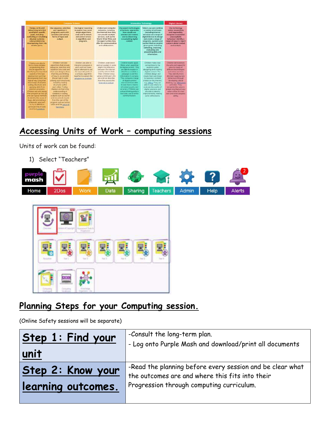| <b>Companie Science</b>                                                                                                                                                                                                                                                                                                                                                                                                                                                                                                                                                        |                                                                                                                                                                                                                                                                                                                                                                                                                                                                                                                              |                                                                                                                                                                                                   |                                                                                                                                                                                                                                                    | <b>Information Technology</b>                                                                                                                                                                                                                                                                                                                                                                                           |                                                                                                                                                                                                                                                                                                                                                                                                     | <b>Digital Literacy</b>                                                                                                                                                                                                                                                                                                                                                                    |  |
|--------------------------------------------------------------------------------------------------------------------------------------------------------------------------------------------------------------------------------------------------------------------------------------------------------------------------------------------------------------------------------------------------------------------------------------------------------------------------------------------------------------------------------------------------------------------------------|------------------------------------------------------------------------------------------------------------------------------------------------------------------------------------------------------------------------------------------------------------------------------------------------------------------------------------------------------------------------------------------------------------------------------------------------------------------------------------------------------------------------------|---------------------------------------------------------------------------------------------------------------------------------------------------------------------------------------------------|----------------------------------------------------------------------------------------------------------------------------------------------------------------------------------------------------------------------------------------------------|-------------------------------------------------------------------------------------------------------------------------------------------------------------------------------------------------------------------------------------------------------------------------------------------------------------------------------------------------------------------------------------------------------------------------|-----------------------------------------------------------------------------------------------------------------------------------------------------------------------------------------------------------------------------------------------------------------------------------------------------------------------------------------------------------------------------------------------------|--------------------------------------------------------------------------------------------------------------------------------------------------------------------------------------------------------------------------------------------------------------------------------------------------------------------------------------------------------------------------------------------|--|
| Dasign, write and<br>debug proprame that<br>accomplish specific.<br>gants, including<br>controlling or simulating<br>physical systems:<br>solve problems by<br>decomposing them into<br>cauglier parts.                                                                                                                                                                                                                                                                                                                                                                        | Use sequence, selection<br>and repetition in<br>programs; work with<br>variables and various<br>forms of input and<br>putput                                                                                                                                                                                                                                                                                                                                                                                                 | Use logical reasoning<br>to explain how some<br>simple algorithms<br>work and to detect<br>and correct emprs<br>in algorithms and<br>programs.                                                    | Livelarstand computer<br>networks, including<br>the internet; how they<br>can provide multiple<br>services, such as the<br>World Wide Web, and<br>the opportunities they<br>offer for communication<br>and collaboration.                          | <b>Use search technologies</b><br>affectively, appreciate.<br><b>Bow results are</b><br>selected and ranked.<br>sed be discerning<br>in insight primalizer ni<br>content.                                                                                                                                                                                                                                               | Select, use and combine<br>a variety of software.<br><b>Ilncluding internet</b><br>cervices) on a range of<br>digital devices to design<br>and create a range of<br>programs, systems and<br>content that accomplish<br>given goals, including<br>collecting, analysing.<br>evaluating and<br>presenting data and<br>information.                                                                   | Use technology<br>unfate respectfully.<br>and responsibly;<br>recognise acceptable/<br>unacceptable<br>behaviour: identify a<br>range of ways to report<br>concern about content<br>and contact.                                                                                                                                                                                           |  |
| Children are able to<br>fairly a more complex<br>programming task<br>with an algorithm by<br>stentificity the important<br>aspects of the face<br>pdictraction) and their<br>skrippingsowing them in a<br><b>Jogical www.usingthek</b><br>Anowledge of possible<br>coding structures and<br>applying ckills from<br>presious programs.<br>Children test and debug<br>their croorem as they get<br>and use logical mathods<br>to identify the cause of<br>bugs, demonstrating a<br>systematic approach<br>to try to identify a<br>particular line in code<br>cauting a problem. | Children translate<br>algorithms that include<br>sequence, selection and<br>repetition into code and<br>their own designs show<br>that they are thinking.<br>of how to accomplish.<br>the set tark in code<br>utilising such structures.<br>inclusing nesting<br>advertising suffice.<br>each other Coding<br>displays an improving.<br>anderstanding of<br>variables in coding.<br>brook as Assar Hughai<br>and movement, inputs<br>from the user of the<br>program such as button<br>clicks and the value of<br>functions. | Children are able to:<br>interpret a program in<br>parts and can make<br>logical attempts to put<br>the separate parts of<br>a complex algorithm<br>topether to explain the<br>program ex a whole | <b>Children</b> understand<br>and can explain in some<br>digit's the difference.<br>between the internet<br>and the World Wide<br>Weit: Children Inow<br>what a WAN and LAN<br>are and can ifeacribe<br>how they access the<br>internet.in school- | Children readily apply.<br>filters when searching<br>for digital content. They<br>are able to explain in<br>detail how credible a<br>webstace is and the<br>information it enntains.<br>They compare a nerve<br>of digital content<br>sources und are whit-<br>for early there in hereos.<br>of content quality and<br>вссигасу. Сплани ши-<br>critical thirdcing skills in<br>everyday use of ordre-<br>communication. | Children make class<br>connections to the<br>auctionity where<br>designing and creating<br>digital content. The<br>children design and<br>create their own bloos.<br>to become a content<br>creator on the internet.<br>e.g. 28top. They are<br>able to use mileria to:<br>workupte the guardity of<br>clipital volutions and<br>are able to identify<br>interovements, making<br>some refinements. | Children demonstrate<br>the sale and respectful<br>use of a range of<br>different technologies.<br>and incline aeropae.<br>They allentify more<br>discreet inappropriate<br><b>Inflavoluze through</b><br>developing cobcal<br>thinking, # & ZRespond<br>artistics They<br>recognize the value in<br>preserving their privacy<br>when online for their<br>own and ather people's<br>safety |  |

# **Accessing Units of Work – computing sessions**

Units of work can be found:

1) Select "Teachers"





### **Planning Steps for your Computing session.**

(Online Safety sessions will be separate)

| Step 1: Find your  | -Consult the long-term plan.                                                                                 |  |  |  |
|--------------------|--------------------------------------------------------------------------------------------------------------|--|--|--|
| unit               | - Log onto Purple Mash and download/print all documents                                                      |  |  |  |
| Step 2: Know your  | -Read the planning before every session and be clear what<br>the outcomes are and where this fits into their |  |  |  |
| learning outcomes. | Progression through computing curriculum.                                                                    |  |  |  |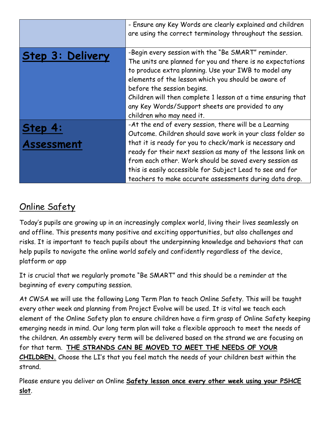|                  | - Ensure any Key Words are clearly explained and children<br>are using the correct terminology throughout the session.                                                                                                                                                                                                                                                                                         |
|------------------|----------------------------------------------------------------------------------------------------------------------------------------------------------------------------------------------------------------------------------------------------------------------------------------------------------------------------------------------------------------------------------------------------------------|
| Step 3: Delivery | -Begin every session with the "Be SMART" reminder.<br>The units are planned for you and there is no expectations<br>to produce extra planning. Use your IWB to model any<br>elements of the lesson which you should be aware of<br>before the session begins.<br>Children will then complete 1 lesson at a time ensuring that<br>any Key Words/Support sheets are provided to any<br>children who may need it. |
| Step 4:          | -At the end of every session, there will be a Learning<br>Outcome. Children should save work in your class folder so                                                                                                                                                                                                                                                                                           |
| Assessment       | that it is ready for you to check/mark is necessary and<br>ready for their next session as many of the lessons link on<br>from each other. Work should be saved every session as<br>this is easily accessible for Subject Lead to see and for<br>teachers to make accurate assessments during data drop.                                                                                                       |

### Online Safety

Today's pupils are growing up in an increasingly complex world, living their lives seamlessly on and offline. This presents many positive and exciting opportunities, but also challenges and risks. It is important to teach pupils about the underpinning knowledge and behaviors that can help pupils to navigate the online world safely and confidently regardless of the device, platform or app

It is crucial that we regularly promote "Be SMART" and this should be a reminder at the beginning of every computing session.

At CWSA we will use the following Long Term Plan to teach Online Safety. This will be taught every other week and planning from Project Evolve will be used. It is vital we teach each element of the Online Safety plan to ensure children have a firm grasp of Online Safety keeping emerging needs in mind. Our long term plan will take a flexible approach to meet the needs of the children. An assembly every term will be delivered based on the strand we are focusing on for that term. **THE STRANDS CAN BE MOVED TO MEET THE NEEDS OF YOUR CHILDREN.** Choose the LI's that you feel match the needs of your children best within the strand.

Please ensure you deliver an Online **Safety lesson once every other week using your PSHCE slot**.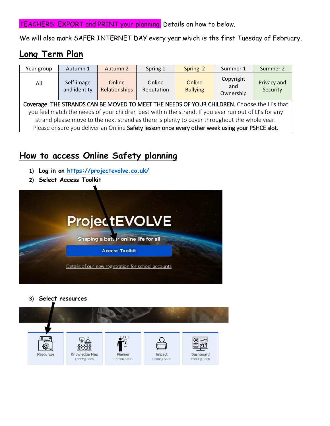TEACHERS: EXPORT and PRINT your planning. Details on how to below.

We will also mark SAFER INTERNET DAY every year which is the first Tuesday of February.

# **Long Term Plan**

| Year group                                                                                            | Autumn 1                   | Autumn 2                | Spring 1             | Spring 2                  | Summer 1                      | Summer 2                |  |
|-------------------------------------------------------------------------------------------------------|----------------------------|-------------------------|----------------------|---------------------------|-------------------------------|-------------------------|--|
| All                                                                                                   | Self-image<br>and identity | Online<br>Relationships | Online<br>Reputation | Online<br><b>Bullying</b> | Copyright<br>and<br>Ownership | Privacy and<br>Security |  |
| Coverage: THE STRANDS CAN BE MOVED TO MEET THE NEEDS OF YOUR CHILDREN. Choose the LI's that           |                            |                         |                      |                           |                               |                         |  |
| you feel match the needs of your children best within the strand. If you ever run out of LI's for any |                            |                         |                      |                           |                               |                         |  |
| strand please move to the next strand as there is plenty to cover throughout the whole year.          |                            |                         |                      |                           |                               |                         |  |
| Please ensure you deliver an Online Safety lesson once every other week using your PSHCE slot.        |                            |                         |                      |                           |                               |                         |  |

### **How to access Online Safety planning**

- **1) Log in on<https://projectevolve.co.uk/>**
- **2) Select Access Toolkit**



**3) Select resources**

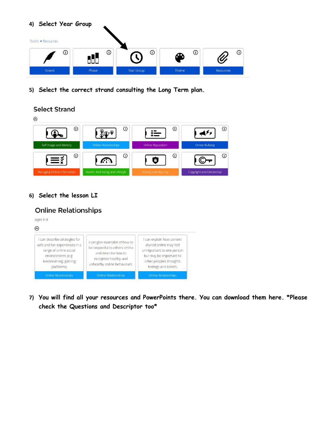#### **4) Select Year Group**



**5) Select the correct strand consulting the Long Term plan.**

#### **Select Strand**



#### **6) Select the lesson LI**

#### **Online Relationships**



**7) You will find all your resources and PowerPoints there. You can download them here. \*Please check the Questions and Descriptor too\***